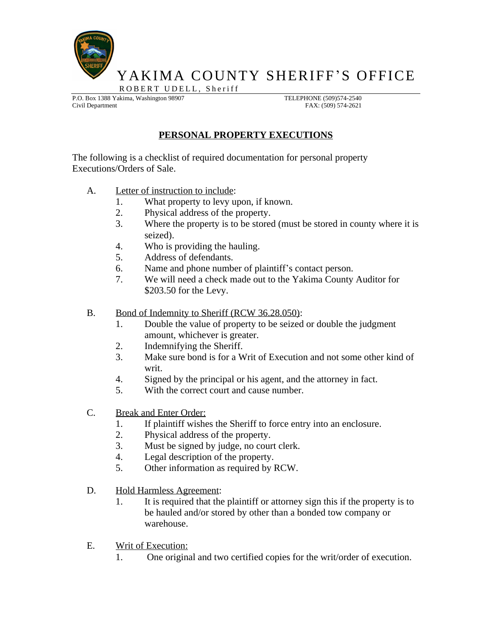

YAKIMA COUNTY SHERIFF'S OFFICE

ROBERT UDELL, Sheriff P.O. Box 1388 Yakima, Washington 98907 TELEPHONE (509)574-2540

Civil Department FAX: (509) 574-2621

## **PERSONAL PROPERTY EXECUTIONS**

The following is a checklist of required documentation for personal property Executions/Orders of Sale.

- A. Letter of instruction to include:
	- 1. What property to levy upon, if known.
	- 2. Physical address of the property.
	- 3. Where the property is to be stored (must be stored in county where it is seized).
	- 4. Who is providing the hauling.
	- 5. Address of defendants.
	- 6. Name and phone number of plaintiff's contact person.
	- 7. We will need a check made out to the Yakima County Auditor for \$203.50 for the Levy.
- B. Bond of Indemnity to Sheriff (RCW 36.28.050):
	- 1. Double the value of property to be seized or double the judgment amount, whichever is greater.
	- 2. Indemnifying the Sheriff.
	- 3. Make sure bond is for a Writ of Execution and not some other kind of writ.
	- 4. Signed by the principal or his agent, and the attorney in fact.
	- 5. With the correct court and cause number.
- C. Break and Enter Order:
	- 1. If plaintiff wishes the Sheriff to force entry into an enclosure.
	- 2. Physical address of the property.
	- 3. Must be signed by judge, no court clerk.
	- 4. Legal description of the property.
	- 5. Other information as required by RCW.
- D. Hold Harmless Agreement:
	- 1. It is required that the plaintiff or attorney sign this if the property is to be hauled and/or stored by other than a bonded tow company or warehouse.
- E. Writ of Execution:
	- 1. One original and two certified copies for the writ/order of execution.